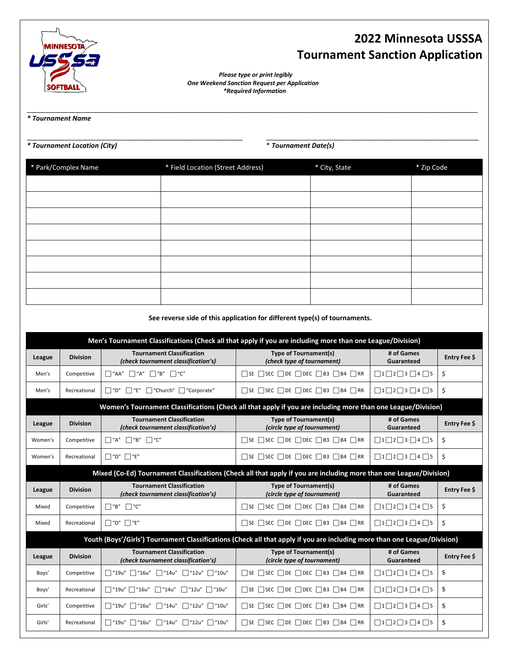

## **2022 Minnesota USSSA Tournament Sanction Application**

 *Please type or print legibly One Weekend Sanction Request per Application \*Required Information*

\_\_\_\_\_\_\_\_\_\_\_\_\_\_\_\_\_\_\_\_\_\_\_\_\_\_\_\_\_\_\_\_\_\_\_\_\_\_\_\_\_\_\_\_\_\_\_\_\_\_\_\_\_\_\_\_\_\_\_\_\_\_\_\_\_\_\_\_\_\_\_\_\_\_\_\_\_\_\_\_\_\_\_\_\_\_\_\_\_\_\_\_\_\_\_\_\_\_\_\_\_\_\_\_\_\_\_\_\_\_\_\_\_\_\_\_\_\_\_\_\_

\_\_\_\_\_\_\_\_\_\_\_\_\_\_\_\_\_\_\_\_\_\_\_\_\_\_\_\_\_\_\_\_\_\_\_\_\_\_\_\_\_\_\_\_\_\_\_\_\_\_\_\_\_\_\_\_\_\_ \_\_\_\_\_\_\_\_\_\_\_\_\_\_\_\_\_\_\_\_\_\_\_\_\_\_\_\_\_\_\_\_\_\_\_\_\_\_\_\_\_\_\_\_\_\_\_\_\_\_\_\_\_\_\_\_\_

*\* Tournament Name* 

*\* Tournament Location (City)* \* *Tournament Date(s)* 

| * Park/Complex Name | * Field Location (Street Address) | * City, State | * Zip Code |
|---------------------|-----------------------------------|---------------|------------|
|                     |                                   |               |            |
|                     |                                   |               |            |
|                     |                                   |               |            |
|                     |                                   |               |            |
|                     |                                   |               |            |
|                     |                                   |               |            |
|                     |                                   |               |            |
|                     |                                   |               |            |

## **See reverse side of this application for different type(s) of tournaments.**

| Men's Tournament Classifications (Check all that apply if you are including more than one League/Division)                |                                                                                                                    |                                                                           |                                                                         |                                              |              |  |  |
|---------------------------------------------------------------------------------------------------------------------------|--------------------------------------------------------------------------------------------------------------------|---------------------------------------------------------------------------|-------------------------------------------------------------------------|----------------------------------------------|--------------|--|--|
| League                                                                                                                    | <b>Division</b>                                                                                                    | <b>Tournament Classification</b><br>(check tournament classification's)   | <b>Type of Tournament(s)</b><br>(check type of tournament)              | # of Games<br>Guaranteed                     | Entry Fee \$ |  |  |
| Men's                                                                                                                     | Competitive                                                                                                        | $\Box$ "B" $\Box$ "C"<br>$\Box$ "AA"<br>$\Box$ "A"                        | $\Box$ SE $\Box$ SEC $\Box$ DE $\Box$ DEC $\Box$ B3 $\Box$ B4 $\Box$ RR | $\Box$ 1 $\Box$ 2 $\Box$ 3 $\Box$ 4 $\Box$ 5 | \$           |  |  |
| Men's                                                                                                                     | Recreational                                                                                                       | $\Box$ "D"<br>$\Box$ "E"<br>□ "Church" □ "Corporate"                      | $\Box$ SE $\Box$ SEC $\Box$ DEC $\Box$ B3 $\Box$ B4 $\Box$ RR           | $\Box$ 1 $\Box$ 2 $\Box$ 3 $\Box$ 4 $\Box$ 5 | \$           |  |  |
|                                                                                                                           | Women's Tournament Classifications (Check all that apply if you are including more than one League/Division)       |                                                                           |                                                                         |                                              |              |  |  |
| League                                                                                                                    | <b>Division</b>                                                                                                    | <b>Tournament Classification</b><br>(check tournament classification's)   | <b>Type of Tournament(s)</b><br>(circle type of tournament)             | # of Games<br>Guaranteed                     | Entry Fee \$ |  |  |
| Women's                                                                                                                   | Competitive                                                                                                        | $\Box$ "C"<br>$\Box$ "A"<br>"B"                                           | $\Box$ SE $\Box$ SEC $\Box$ DE $\Box$ DEC $\Box$ B3 $\Box$ B4 $\Box$ RR | $\Box$ 1 $\Box$ 2 $\Box$ 3 $\Box$ 4 $\Box$ 5 | \$           |  |  |
| Women's                                                                                                                   | Recreational                                                                                                       | $\Box$ "D" $\Box$ "E"                                                     | $\Box$ SE $\Box$ SEC $\Box$ DE $\Box$ DEC $\Box$ B3 $\Box$ B4 $\Box$ RR |                                              | \$           |  |  |
|                                                                                                                           | Mixed (Co-Ed) Tournament Classifications (Check all that apply if you are including more than one League/Division) |                                                                           |                                                                         |                                              |              |  |  |
| League                                                                                                                    | <b>Division</b>                                                                                                    | <b>Tournament Classification</b><br>(check tournament classification's)   | <b>Type of Tournament(s)</b><br>(circle type of tournament)             | # of Games<br>Guaranteed                     | Entry Fee \$ |  |  |
| Mixed                                                                                                                     | Competitive                                                                                                        | $\Box$ "B"<br>$\Box$ "C"                                                  | $\Box$ SE $\Box$ SEC $\Box$ DE $\Box$ DEC $\Box$ B3 $\Box$ B4 $\Box$ RR | $\Box$ 1 $\Box$ 2 $\Box$ 3 $\Box$ 4 $\Box$ 5 | \$           |  |  |
| Mixed                                                                                                                     | Recreational                                                                                                       | $\Box$ "D" $\Box$ "E"                                                     | $\Box$ SE $\Box$ SEC $\Box$ DE $\Box$ DEC $\Box$ B3 $\Box$ B4 $\Box$ RR | $\Box$ 1 $\Box$ 2 $\Box$ 3 $\Box$ 4 $\Box$ 5 | \$           |  |  |
| Youth (Boys'/Girls') Tournament Classifications (Check all that apply if you are including more than one League/Division) |                                                                                                                    |                                                                           |                                                                         |                                              |              |  |  |
| League                                                                                                                    | <b>Division</b>                                                                                                    | <b>Tournament Classification</b><br>(check tournament classification's)   | <b>Type of Tournament(s)</b><br>(circle type of tournament)             | # of Games<br>Guaranteed                     | Entry Fee \$ |  |  |
| Boys'                                                                                                                     | Competitive                                                                                                        | $\Box$ "16u"<br>$\Box$ "14u" $\Box$ "12u" $\Box$ "10u"<br>∏ "19u"         | $\Box$ SE $\Box$ SEC $\Box$ DE $\Box$ DEC $\Box$ B3 $\Box$ B4 $\Box$ RR | $\Box$ 1 $\Box$ 2 $\Box$ 3 $\Box$ 4 $\Box$ 5 | \$           |  |  |
| Boys'                                                                                                                     | Recreational                                                                                                       | $\Box$ "19u" $\Box$ "16u"<br>$\Box$ "14u"<br>$\Box$ "12u" $\Box$ "10u"    | $\Box$ SE $\Box$ SEC $\Box$ DE $\Box$ DEC $\Box$ B3 $\Box$ B4 $\Box$ RR | $\Box$ 1 $\Box$ 2 $\Box$ 3 $\Box$ 4 $\Box$ 5 | \$           |  |  |
| Girls'                                                                                                                    | Competitive                                                                                                        | $\Box$ "14u" $\Box$ "12u"<br>∏ "19u"<br>$\Box$ "16u"<br>$\Box$ "10u"      | $\Box$ SE $\Box$ SEC $\Box$ DE $\Box$ DEC $\Box$ B3 $\Box$ B4 $\Box$ RR | $\Box$ 1 $\Box$ 2 $\Box$ 3 $\Box$ 4 $\Box$ 5 | \$           |  |  |
| Girls'                                                                                                                    | Recreational                                                                                                       | $\Box$ "14u" $\Box$ "12u"<br>$\Box$ "19u"<br>$\Box$ "16u"<br>$\Box$ "10u" | $\Box$ SE $\Box$ SEC $\Box$ DE $\Box$ DEC $\Box$ B3 $\Box$ B4 $\Box$ RR | $\Box$ 1 $\Box$ 2 $\Box$ 3 $\Box$ 4 $\Box$ 5 | \$           |  |  |